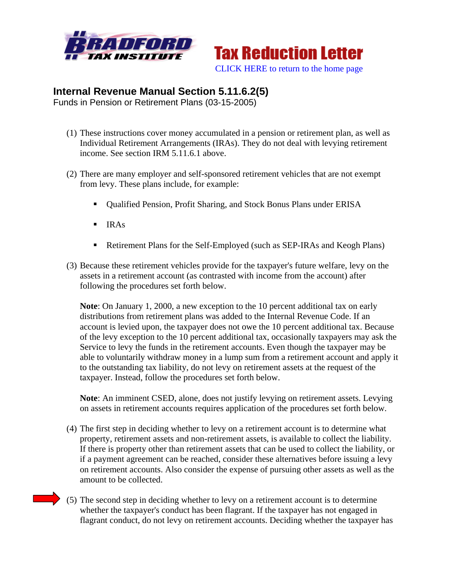



## **Internal Revenue Manual Section 5.11.6.2(5)**

Funds in Pension or Retirement Plans (03-15-2005)

- (1) These instructions cover money accumulated in a pension or retirement plan, as well as Individual Retirement Arrangements (IRAs). They do not deal with levying retirement income. See section IRM 5.11.6.1 above.
- (2) There are many employer and self-sponsored retirement vehicles that are not exempt from levy. These plans include, for example:
	- Qualified Pension, Profit Sharing, and Stock Bonus Plans under ERISA
	- $IRAs$
	- Retirement Plans for the Self-Employed (such as SEP-IRAs and Keogh Plans)
- (3) Because these retirement vehicles provide for the taxpayer's future welfare, levy on the assets in a retirement account (as contrasted with income from the account) after following the procedures set forth below.

**Note**: On January 1, 2000, a new exception to the 10 percent additional tax on early distributions from retirement plans was added to the Internal Revenue Code. If an account is levied upon, the taxpayer does not owe the 10 percent additional tax. Because of the levy exception to the 10 percent additional tax, occasionally taxpayers may ask the Service to levy the funds in the retirement accounts. Even though the taxpayer may be able to voluntarily withdraw money in a lump sum from a retirement account and apply it to the outstanding tax liability, do not levy on retirement assets at the request of the taxpayer. Instead, follow the procedures set forth below.

**Note**: An imminent CSED, alone, does not justify levying on retirement assets. Levying on assets in retirement accounts requires application of the procedures set forth below.

- (4) The first step in deciding whether to levy on a retirement account is to determine what property, retirement assets and non-retirement assets, is available to collect the liability. If there is property other than retirement assets that can be used to collect the liability, or if a payment agreement can be reached, consider these alternatives before issuing a levy on retirement accounts. Also consider the expense of pursuing other assets as well as the amount to be collected.
- (5) The second step in deciding whether to levy on a retirement account is to determine whether the taxpayer's conduct has been flagrant. If the taxpayer has not engaged in flagrant conduct, do not levy on retirement accounts. Deciding whether the taxpayer has